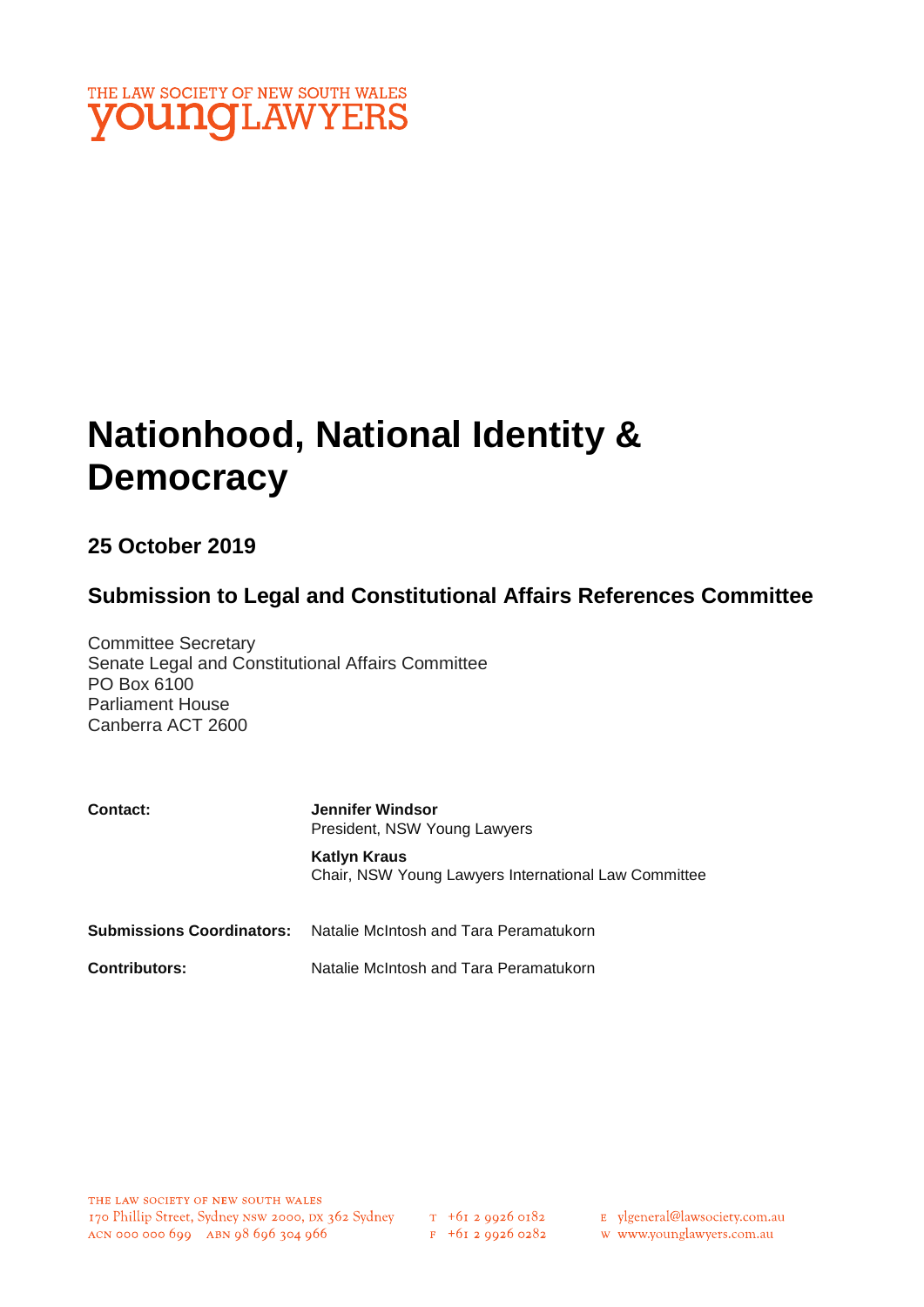

# **Nationhood, National Identity & Democracy**

## **25 October 2019**

## **Submission to Legal and Constitutional Affairs References Committee**

Committee Secretary Senate Legal and Constitutional Affairs Committee PO Box 6100 Parliament House Canberra ACT 2600

| <b>Contact:</b>           | <b>Jennifer Windsor</b><br>President, NSW Young Lawyers                     |
|---------------------------|-----------------------------------------------------------------------------|
|                           | <b>Katlyn Kraus</b><br>Chair, NSW Young Lawyers International Law Committee |
| Submissions Coordinators: | Natalie McIntosh and Tara Peramatukorn                                      |
| <b>Contributors:</b>      | Natalie McIntosh and Tara Peramatukorn                                      |

- E ylgeneral@lawsociety.com.au
- w www.younglawyers.com.au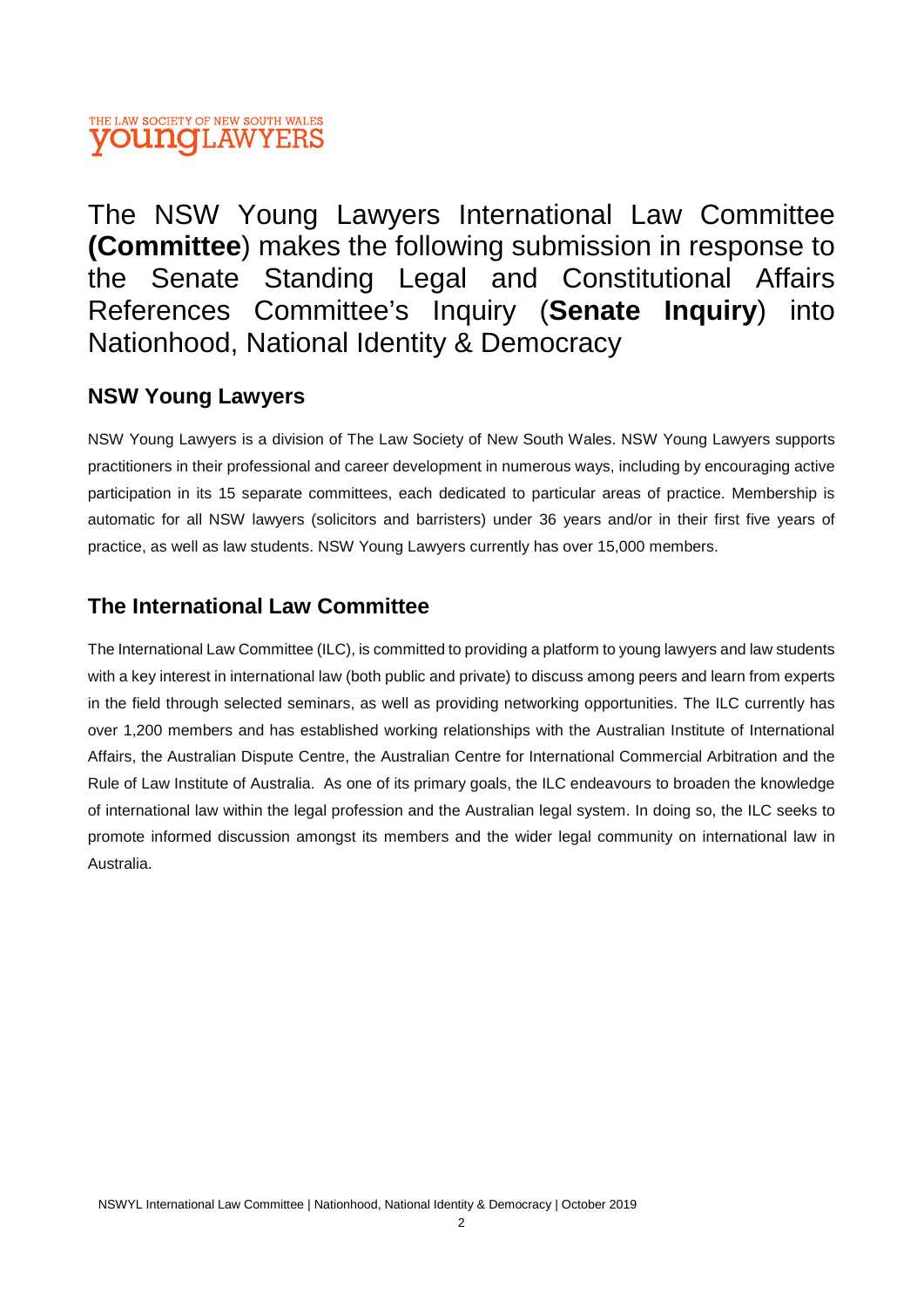## THE LAW SOCIETY OF NEW SOUTH WALES **VOUNGLAWYERS**

The NSW Young Lawyers International Law Committee **(Committee**) makes the following submission in response to the Senate Standing Legal and Constitutional Affairs References Committee's Inquiry (**Senate Inquiry**) into Nationhood, National Identity & Democracy

## **NSW Young Lawyers**

NSW Young Lawyers is a division of The Law Society of New South Wales. NSW Young Lawyers supports practitioners in their professional and career development in numerous ways, including by encouraging active participation in its 15 separate committees, each dedicated to particular areas of practice. Membership is automatic for all NSW lawyers (solicitors and barristers) under 36 years and/or in their first five years of practice, as well as law students. NSW Young Lawyers currently has over 15,000 members.

## **The International Law Committee**

The International Law Committee (ILC), is committed to providing a platform to young lawyers and law students with a key interest in international law (both public and private) to discuss among peers and learn from experts in the field through selected seminars, as well as providing networking opportunities. The ILC currently has over 1,200 members and has established working relationships with the Australian Institute of International Affairs, the Australian Dispute Centre, the Australian Centre for International Commercial Arbitration and the Rule of Law Institute of Australia. As one of its primary goals, the ILC endeavours to broaden the knowledge of international law within the legal profession and the Australian legal system. In doing so, the ILC seeks to promote informed discussion amongst its members and the wider legal community on international law in Australia.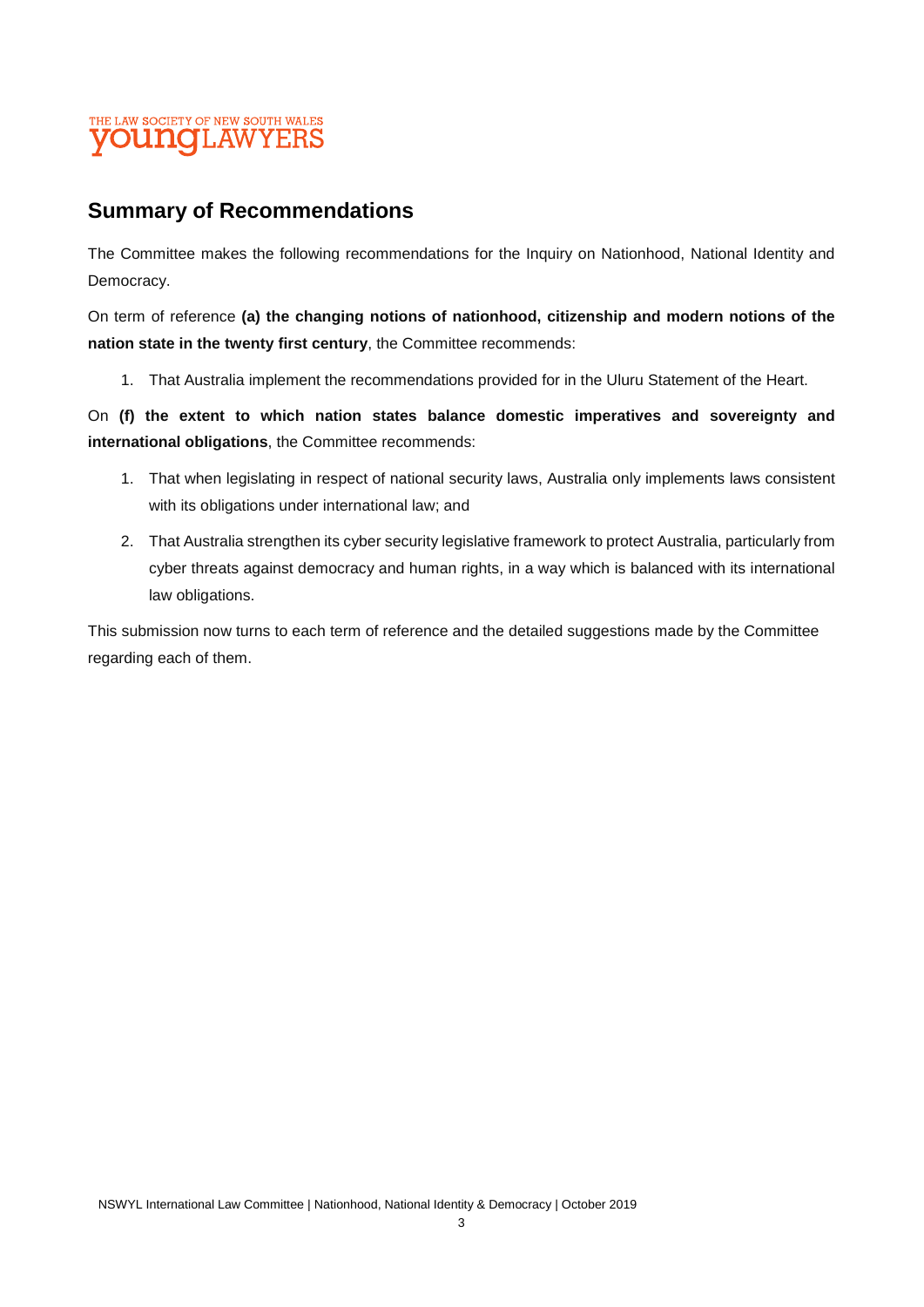## THE LAW SOCIETY OF NEW SOUTH WALES **VOUNGLAWYERS**

## **Summary of Recommendations**

The Committee makes the following recommendations for the Inquiry on Nationhood, National Identity and Democracy.

On term of reference **(a) the changing notions of nationhood, citizenship and modern notions of the nation state in the twenty first century**, the Committee recommends:

1. That Australia implement the recommendations provided for in the Uluru Statement of the Heart.

On **(f) the extent to which nation states balance domestic imperatives and sovereignty and international obligations**, the Committee recommends:

- 1. That when legislating in respect of national security laws, Australia only implements laws consistent with its obligations under international law; and
- 2. That Australia strengthen its cyber security legislative framework to protect Australia, particularly from cyber threats against democracy and human rights, in a way which is balanced with its international law obligations.

This submission now turns to each term of reference and the detailed suggestions made by the Committee regarding each of them.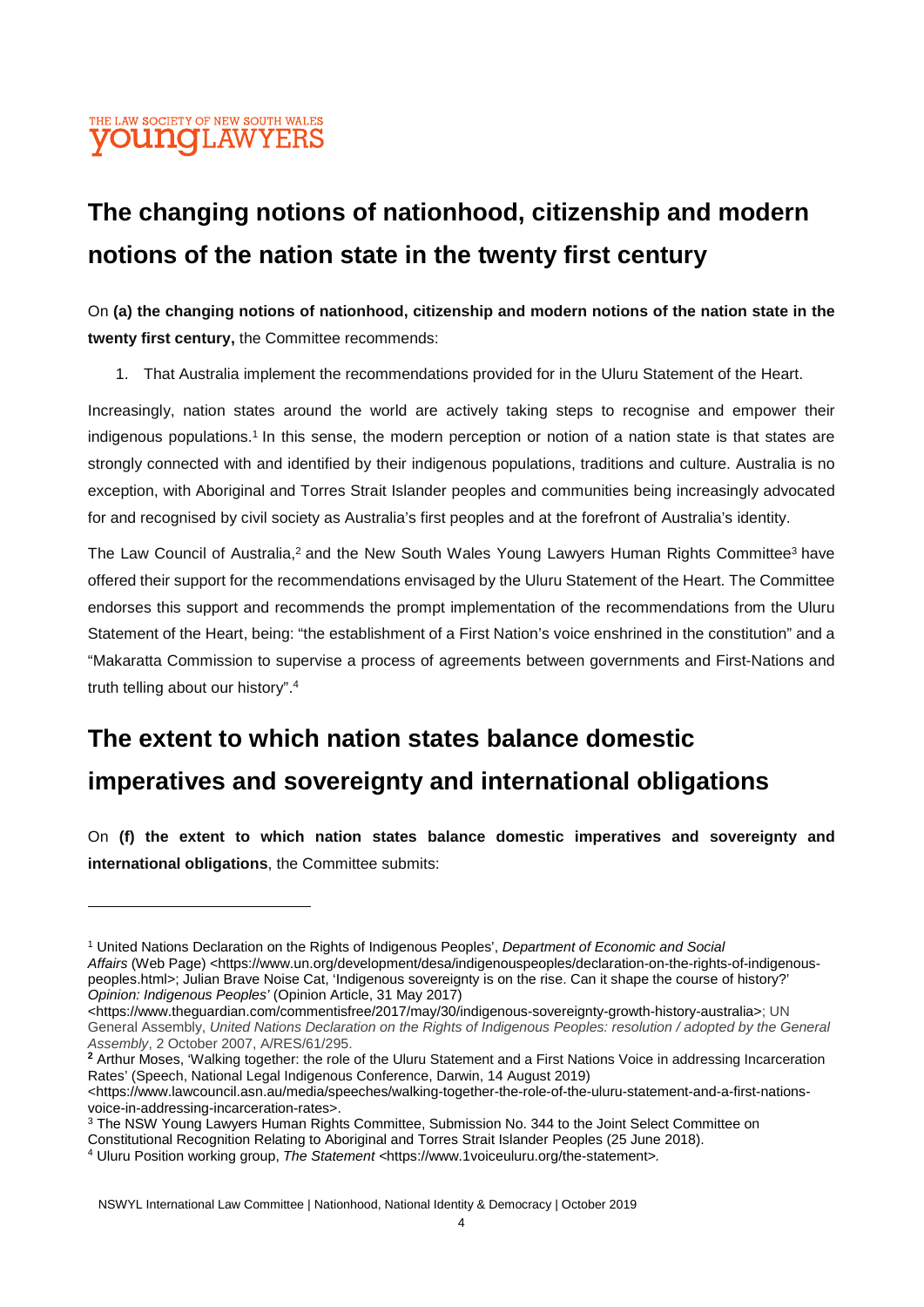## **The changing notions of nationhood, citizenship and modern notions of the nation state in the twenty first century**

On **(a) the changing notions of nationhood, citizenship and modern notions of the nation state in the twenty first century,** the Committee recommends:

1. That Australia implement the recommendations provided for in the Uluru Statement of the Heart.

Increasingly, nation states around the world are actively taking steps to recognise and empower their indigenous populations.<sup>1</sup> In this sense, the modern perception or notion of a nation state is that states are strongly connected with and identified by their indigenous populations, traditions and culture. Australia is no exception, with Aboriginal and Torres Strait Islander peoples and communities being increasingly advocated for and recognised by civil society as Australia's first peoples and at the forefront of Australia's identity.

The Law Council of Australia,<sup>2</sup> and the New South Wales Young Lawyers Human Rights Committee<sup>3</sup> have offered their support for the recommendations envisaged by the Uluru Statement of the Heart. The Committee endorses this support and recommends the prompt implementation of the recommendations from the Uluru Statement of the Heart, being: "the establishment of a First Nation's voice enshrined in the constitution" and a "Makaratta Commission to supervise a process of agreements between governments and First-Nations and truth telling about our history".<sup>4</sup>

## **The extent to which nation states balance domestic imperatives and sovereignty and international obligations**

On **(f) the extent to which nation states balance domestic imperatives and sovereignty and international obligations**, the Committee submits:

<https://www.theguardian.com/commentisfree/2017/may/30/indigenous-sovereignty-growth-history-australia>; UN General Assembly, *United Nations Declaration on the Rights of Indigenous Peoples: resolution / adopted by the General Assembly*, 2 October 2007, A/RES/61/295.

**<sup>2</sup>** Arthur Moses, 'Walking together: the role of the Uluru Statement and a First Nations Voice in addressing Incarceration Rates' (Speech, National Legal Indigenous Conference, Darwin, 14 August 2019)

<sup>1</sup> United Nations Declaration on the Rights of Indigenous Peoples', *Department of Economic and Social Affairs* (Web Page) *<*https://www.un.org/development/desa/indigenouspeoples/declaration-on-the-rights-of-indigenouspeoples.html*>*; Julian Brave Noise Cat, 'Indigenous sovereignty is on the rise. Can it shape the course of history?' *Opinion: Indigenous Peoples'* (Opinion Article, 31 May 2017)

<sup>&</sup>lt;https://www.lawcouncil.asn.au/media/speeches/walking-together-the-role-of-the-uluru-statement-and-a-first-nationsvoice-in-addressing-incarceration-rates>.

<sup>&</sup>lt;sup>3</sup> The NSW Young Lawyers Human Rights Committee, Submission No. 344 to the Joint Select Committee on

Constitutional Recognition Relating to Aboriginal and Torres Strait Islander Peoples (25 June 2018).

<sup>4</sup> Uluru Position working group, *The Statement <*https://www.1voiceuluru.org/the-statement*>.*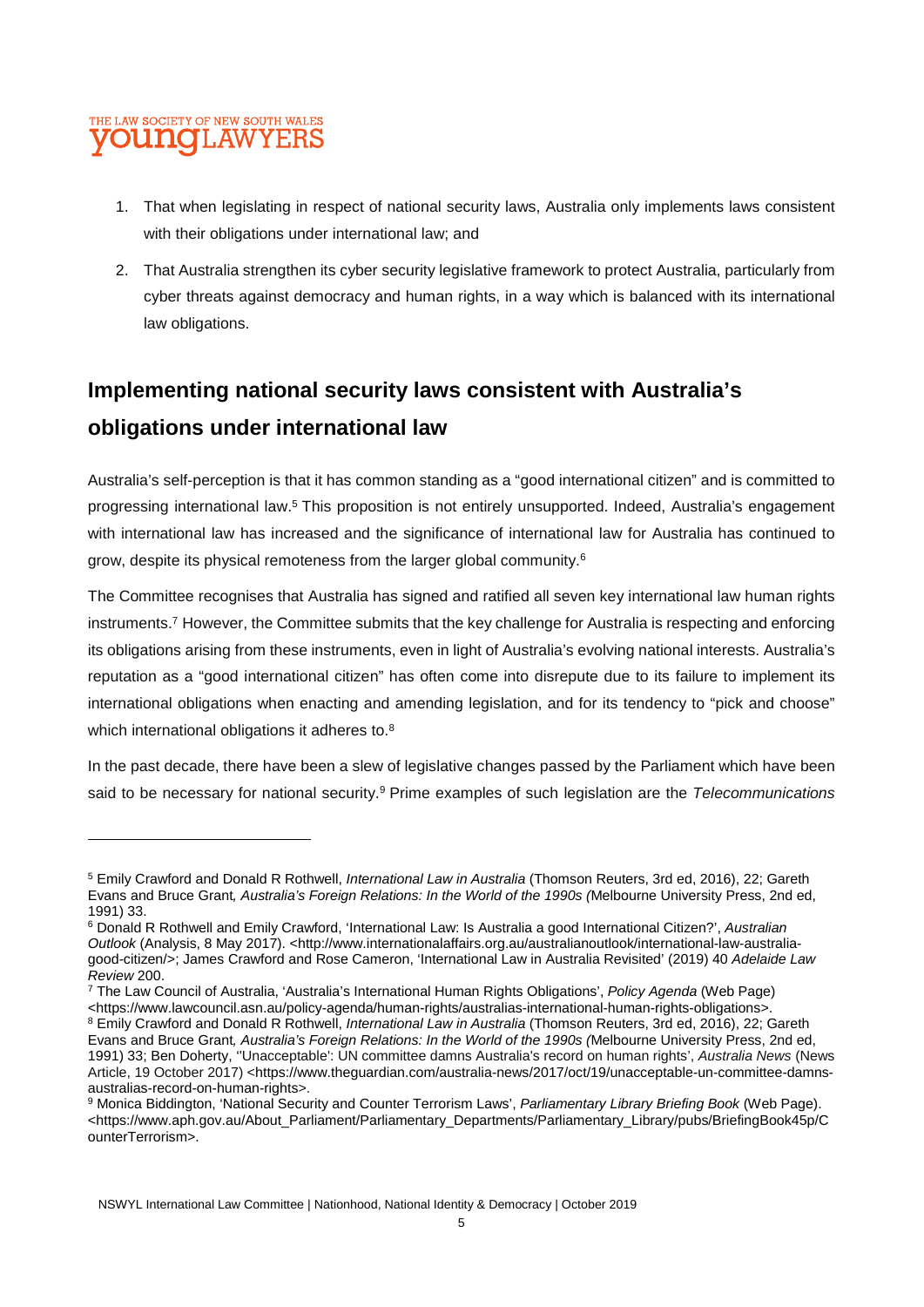#### THE LAW SOCIETY OF NEW SOUTH WALES **OUNOLAW** YERS

- 1. That when legislating in respect of national security laws, Australia only implements laws consistent with their obligations under international law; and
- 2. That Australia strengthen its cyber security legislative framework to protect Australia, particularly from cyber threats against democracy and human rights, in a way which is balanced with its international law obligations.

## **Implementing national security laws consistent with Australia's obligations under international law**

Australia's self-perception is that it has common standing as a "good international citizen" and is committed to progressing international law.<sup>5</sup> This proposition is not entirely unsupported. Indeed, Australia's engagement with international law has increased and the significance of international law for Australia has continued to grow, despite its physical remoteness from the larger global community.<sup>6</sup>

The Committee recognises that Australia has signed and ratified all seven key international law human rights instruments.<sup>7</sup> However, the Committee submits that the key challenge for Australia is respecting and enforcing its obligations arising from these instruments, even in light of Australia's evolving national interests. Australia's reputation as a "good international citizen" has often come into disrepute due to its failure to implement its international obligations when enacting and amending legislation, and for its tendency to "pick and choose" which international obligations it adheres to.<sup>8</sup>

In the past decade, there have been a slew of legislative changes passed by the Parliament which have been said to be necessary for national security.<sup>9</sup> Prime examples of such legislation are the *Telecommunications* 

<sup>5</sup> Emily Crawford and Donald R Rothwell, *International Law in Australia* (Thomson Reuters, 3rd ed, 2016), 22; Gareth Evans and Bruce Grant*, Australia's Foreign Relations: In the World of the 1990s (*Melbourne University Press, 2nd ed, 1991) 33.

<sup>6</sup> Donald R Rothwell and Emily Crawford, 'International Law: Is Australia a good International Citizen?', *Australian Outlook* (Analysis, 8 May 2017). <http://www.internationalaffairs.org.au/australianoutlook/international-law-australiagood-citizen/>; James Crawford and Rose Cameron, 'International Law in Australia Revisited' (2019) 40 *Adelaide Law Review* 200.

<sup>7</sup> The Law Council of Australia, 'Australia's International Human Rights Obligations', *Policy Agenda* (Web Page) <https://www.lawcouncil.asn.au/policy-agenda/human-rights/australias-international-human-rights-obligations>.

<sup>8</sup> Emily Crawford and Donald R Rothwell, *International Law in Australia* (Thomson Reuters, 3rd ed, 2016), 22; Gareth Evans and Bruce Grant*, Australia's Foreign Relations: In the World of the 1990s (*Melbourne University Press, 2nd ed, 1991) 33; Ben Doherty, ''Unacceptable': UN committee damns Australia's record on human rights', *Australia News* (News Article, 19 October 2017) <https://www.theguardian.com/australia-news/2017/oct/19/unacceptable-un-committee-damnsaustralias-record-on-human-rights>.

<sup>9</sup> Monica Biddington, 'National Security and Counter Terrorism Laws', *Parliamentary Library Briefing Book* (Web Page). <https://www.aph.gov.au/About\_Parliament/Parliamentary\_Departments/Parliamentary\_Library/pubs/BriefingBook45p/C ounterTerrorism>.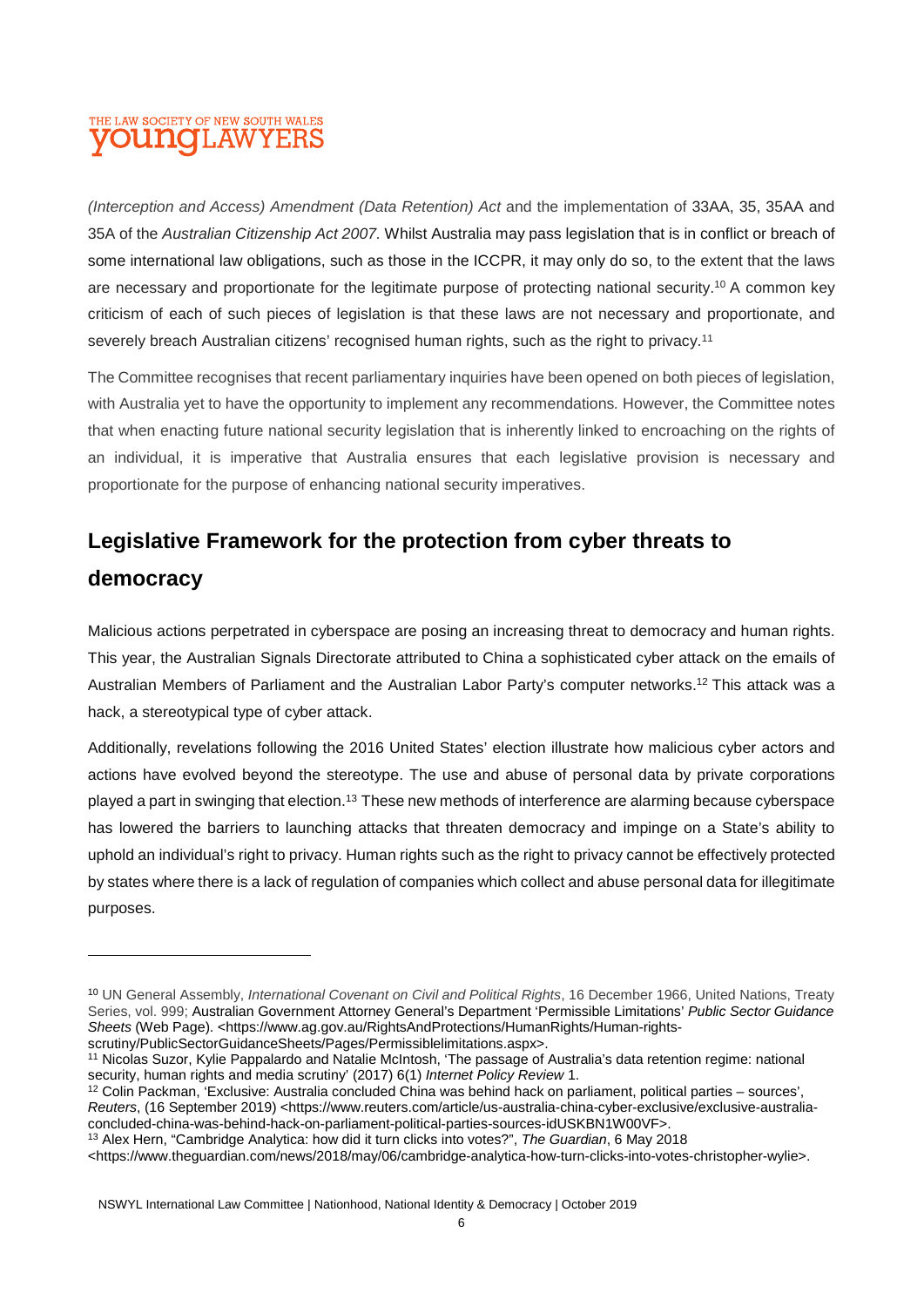#### THE LAW SOCIETY OF NEW SOUTH WALES **OUNGLAW** YERS

*(Interception and Access) Amendment (Data Retention) Act* and the implementation of 33AA, 35, 35AA and 35A of the *Australian Citizenship Act 2007.* Whilst Australia may pass legislation that is in conflict or breach of some international law obligations, such as those in the ICCPR, it may only do so, to the extent that the laws are necessary and proportionate for the legitimate purpose of protecting national security.<sup>10</sup> A common key criticism of each of such pieces of legislation is that these laws are not necessary and proportionate, and severely breach Australian citizens' recognised human rights, such as the right to privacy.<sup>11</sup>

The Committee recognises that recent parliamentary inquiries have been opened on both pieces of legislation, with Australia yet to have the opportunity to implement any recommendations*.* However, the Committee notes that when enacting future national security legislation that is inherently linked to encroaching on the rights of an individual, it is imperative that Australia ensures that each legislative provision is necessary and proportionate for the purpose of enhancing national security imperatives.

## **Legislative Framework for the protection from cyber threats to**

## **democracy**

Malicious actions perpetrated in cyberspace are posing an increasing threat to democracy and human rights. This year, the Australian Signals Directorate attributed to China a sophisticated cyber attack on the emails of Australian Members of Parliament and the Australian Labor Party's computer networks.<sup>12</sup> This attack was a hack, a stereotypical type of cyber attack.

Additionally, revelations following the 2016 United States' election illustrate how malicious cyber actors and actions have evolved beyond the stereotype. The use and abuse of personal data by private corporations played a part in swinging that election.<sup>13</sup> These new methods of interference are alarming because cyberspace has lowered the barriers to launching attacks that threaten democracy and impinge on a State's ability to uphold an individual's right to privacy. Human rights such as the right to privacy cannot be effectively protected by states where there is a lack of regulation of companies which collect and abuse personal data for illegitimate purposes.

<sup>10</sup> UN General Assembly, *International Covenant on Civil and Political Rights*, 16 December 1966, United Nations, Treaty Series, vol. 999; Australian Government Attorney General's Department 'Permissible Limitations' *Public Sector Guidance*  Sheets (Web Page). <https://www.ag.gov.au/RightsAndProtections/HumanRights/Human-rightsscrutiny/PublicSectorGuidanceSheets/Pages/Permissiblelimitations.aspx>.

<sup>11</sup> Nicolas Suzor, Kylie Pappalardo and Natalie McIntosh, 'The passage of Australia's data retention regime: national security, human rights and media scrutiny' (2017) 6(1) *Internet Policy Review* 1.

<sup>12</sup> Colin Packman, 'Exclusive: Australia concluded China was behind hack on parliament, political parties – sources', *Reuters*, (16 September 2019) <https://www.reuters.com/article/us-australia-china-cyber-exclusive/exclusive-australiaconcluded-china-was-behind-hack-on-parliament-political-parties-sources-idUSKBN1W00VF>.

<sup>13</sup> Alex Hern, "Cambridge Analytica: how did it turn clicks into votes?", *The Guardian*, 6 May 2018

<sup>&</sup>lt;https://www.theguardian.com/news/2018/may/06/cambridge-analytica-how-turn-clicks-into-votes-christopher-wylie>.